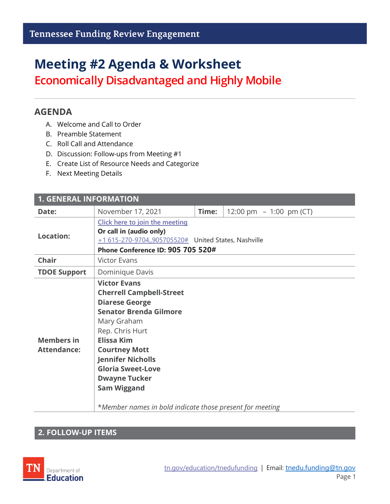## **Meeting #2 Agenda & Worksheet**

**Economically Disadvantaged and Highly Mobile**

#### **AGENDA**

- A. Welcome and Call to Order
- B. Preamble Statement
- C. Roll Call and Attendance
- D. Discussion: Follow-ups from Meeting #1
- E. Create List of Resource Needs and Categorize
- F. Next Meeting Details

| <b>1. GENERAL INFORMATION</b>           |                                                                                                                                                                                                                                                                                                                                                                   |       |                           |  |  |
|-----------------------------------------|-------------------------------------------------------------------------------------------------------------------------------------------------------------------------------------------------------------------------------------------------------------------------------------------------------------------------------------------------------------------|-------|---------------------------|--|--|
| Date:                                   | November 17, 2021                                                                                                                                                                                                                                                                                                                                                 | Time: | 12:00 pm $-$ 1:00 pm (CT) |  |  |
| <b>Location:</b>                        | Click here to join the meeting                                                                                                                                                                                                                                                                                                                                    |       |                           |  |  |
|                                         | Or call in (audio only)<br>+1 615-270-9704,,905705520# United States, Nashville                                                                                                                                                                                                                                                                                   |       |                           |  |  |
|                                         | Phone Conference ID: 905 705 520#                                                                                                                                                                                                                                                                                                                                 |       |                           |  |  |
| <b>Chair</b>                            | <b>Victor Evans</b>                                                                                                                                                                                                                                                                                                                                               |       |                           |  |  |
| <b>TDOE Support</b>                     | Dominique Davis                                                                                                                                                                                                                                                                                                                                                   |       |                           |  |  |
| <b>Members in</b><br><b>Attendance:</b> | <b>Victor Evans</b><br><b>Cherrell Campbell-Street</b><br><b>Diarese George</b><br><b>Senator Brenda Gilmore</b><br>Mary Graham<br>Rep. Chris Hurt<br><b>Elissa Kim</b><br><b>Courtney Mott</b><br><b>Jennifer Nicholls</b><br><b>Gloria Sweet-Love</b><br><b>Dwayne Tucker</b><br><b>Sam Wiggand</b><br>*Member names in bold indicate those present for meeting |       |                           |  |  |

#### **2. FOLLOW-UP ITEMS**

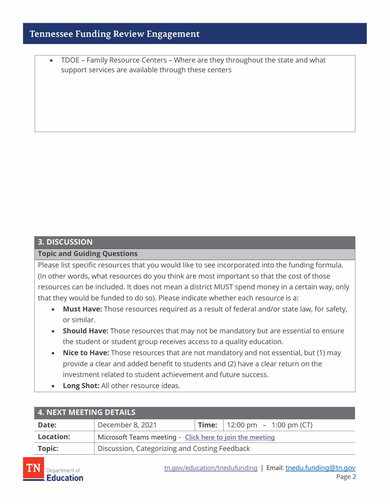### **Tennessee Funding Review Engagement**

• TDOE – Family Resource Centers – Where are they throughout the state and what support services are available through these centers

# **3. DISCUSSION**

**Topic and Guiding Questions**

Please list specific resources that you would like to see incorporated into the funding formula. (In other words, what resources do you think are most important so that the cost of those resources can be included. It does not mean a district MUST spend money in a certain way, only that they would be funded to do so). Please indicate whether each resource is a:

- **Must Have:** Those resources required as a result of federal and/or state law, for safety, or similar.
- **Should Have:** Those resources that may not be mandatory but are essential to ensure the student or student group receives access to a quality education.
- **Nice to Have:** Those resources that are not mandatory and not essential, but (1) may provide a clear and added benefit to students and (2) have a clear return on the investment related to student achievement and future success.
- **Long Shot:** All other resource ideas.

| 4. NEXT MEETING DETAILS |                                                          |  |                                          |  |
|-------------------------|----------------------------------------------------------|--|------------------------------------------|--|
| Date:                   | December 8, 2021                                         |  | <b>Time:</b>   12:00 pm $-$ 1:00 pm (CT) |  |
| <b>Location:</b>        | Microsoft Teams meeting - Click here to join the meeting |  |                                          |  |
| Topic:                  | Discussion, Categorizing and Costing Feedback            |  |                                          |  |